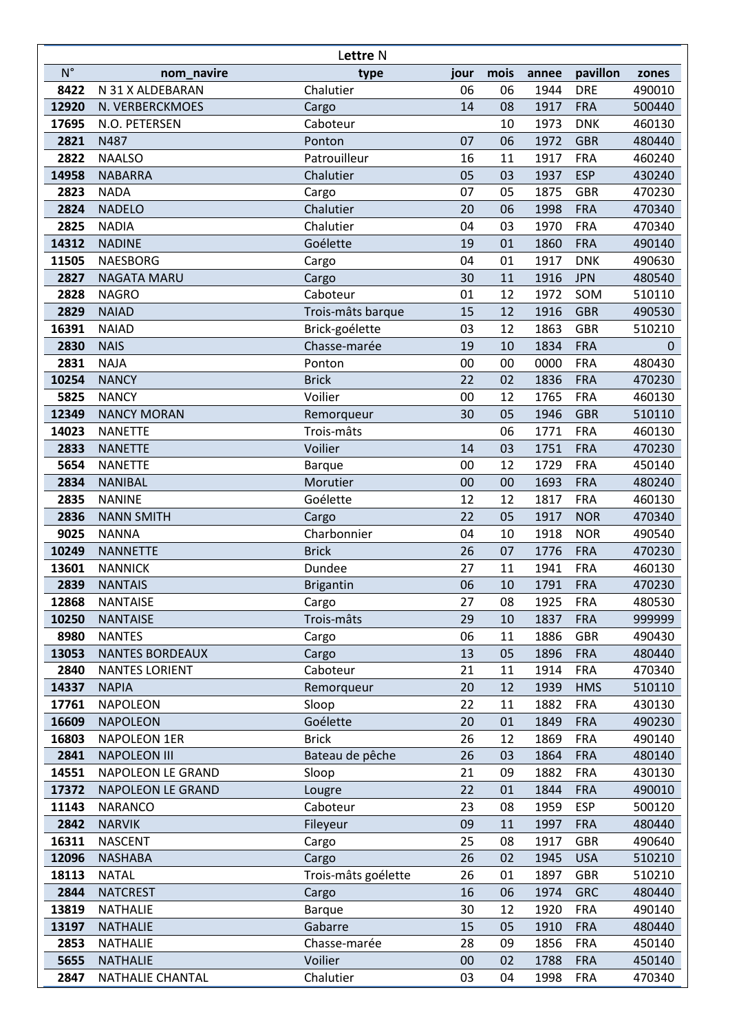| Lettre N     |                                   |                      |          |          |              |                          |                  |  |  |
|--------------|-----------------------------------|----------------------|----------|----------|--------------|--------------------------|------------------|--|--|
| $N^{\circ}$  | nom_navire                        | type                 | jour     | mois     | annee        | pavillon                 | zones            |  |  |
| 8422         | N 31 X ALDEBARAN                  | Chalutier            | 06       | 06       | 1944         | <b>DRE</b>               | 490010           |  |  |
| 12920        | N. VERBERCKMOES                   | Cargo                | 14       | 08       | 1917         | <b>FRA</b>               | 500440           |  |  |
| 17695        | N.O. PETERSEN                     | Caboteur             |          | 10       | 1973         | <b>DNK</b>               | 460130           |  |  |
| 2821         | N487                              | Ponton               | 07       | 06       | 1972         | <b>GBR</b>               | 480440           |  |  |
| 2822         | <b>NAALSO</b>                     | Patrouilleur         | 16       | 11       | 1917         | <b>FRA</b>               | 460240           |  |  |
| 14958        | <b>NABARRA</b>                    | Chalutier            | 05       | 03       | 1937         | <b>ESP</b>               | 430240           |  |  |
| 2823         | <b>NADA</b>                       | Cargo                | 07       | 05       | 1875         | <b>GBR</b>               | 470230           |  |  |
| 2824         | <b>NADELO</b>                     | Chalutier            | 20       | 06       | 1998         | <b>FRA</b>               | 470340           |  |  |
| 2825         | <b>NADIA</b>                      | Chalutier            | 04       | 03       | 1970         | <b>FRA</b>               | 470340           |  |  |
| 14312        | <b>NADINE</b>                     | Goélette             | 19       | 01       | 1860         | <b>FRA</b>               | 490140           |  |  |
| 11505        | <b>NAESBORG</b>                   | Cargo                | 04       | 01       | 1917         | <b>DNK</b>               | 490630           |  |  |
| 2827         | NAGATA MARU                       | Cargo                | 30       | 11       | 1916         | <b>JPN</b>               | 480540           |  |  |
| 2828         | <b>NAGRO</b>                      | Caboteur             | 01       | 12       | 1972         | SOM                      | 510110           |  |  |
| 2829         | <b>NAIAD</b>                      | Trois-mâts barque    | 15       | 12       | 1916         | <b>GBR</b>               | 490530           |  |  |
| 16391        | <b>NAIAD</b>                      | Brick-goélette       | 03       | 12       | 1863         | <b>GBR</b>               | 510210           |  |  |
| 2830         | <b>NAIS</b>                       | Chasse-marée         | 19       | 10       | 1834         | <b>FRA</b>               | $\Omega$         |  |  |
| 2831         | <b>NAJA</b>                       | Ponton               | 00       | 00       | 0000         | <b>FRA</b>               | 480430           |  |  |
| 10254        | <b>NANCY</b>                      | <b>Brick</b>         | 22       | 02       | 1836         | <b>FRA</b>               | 470230           |  |  |
| 5825         | <b>NANCY</b>                      | Voilier              | 00       | 12       | 1765         | <b>FRA</b>               | 460130           |  |  |
| 12349        | <b>NANCY MORAN</b>                | Remorqueur           | 30       | 05       | 1946         | <b>GBR</b>               | 510110           |  |  |
| 14023        | <b>NANETTE</b>                    | Trois-mâts           |          | 06       | 1771         | <b>FRA</b>               | 460130           |  |  |
| 2833         | <b>NANETTE</b>                    | Voilier              | 14       | 03       | 1751         | <b>FRA</b>               | 470230           |  |  |
| 5654         | <b>NANETTE</b>                    | <b>Barque</b>        | 00       | 12       | 1729         | <b>FRA</b>               | 450140           |  |  |
| 2834         | <b>NANIBAL</b>                    | Morutier             | 00       | 00       | 1693         | <b>FRA</b>               | 480240           |  |  |
| 2835         | <b>NANINE</b>                     | Goélette             | 12<br>22 | 12       | 1817         | <b>FRA</b>               | 460130           |  |  |
| 2836<br>9025 | <b>NANN SMITH</b><br><b>NANNA</b> | Cargo<br>Charbonnier | 04       | 05<br>10 | 1917<br>1918 | <b>NOR</b><br><b>NOR</b> | 470340<br>490540 |  |  |
| 10249        | <b>NANNETTE</b>                   | <b>Brick</b>         | 26       | 07       | 1776         | <b>FRA</b>               | 470230           |  |  |
| 13601        | <b>NANNICK</b>                    | Dundee               | 27       | 11       | 1941         | <b>FRA</b>               | 460130           |  |  |
| 2839         | <b>NANTAIS</b>                    | <b>Brigantin</b>     | 06       | 10       | 1791         | <b>FRA</b>               | 470230           |  |  |
| 12868        | <b>NANTAISE</b>                   | Cargo                | 27       | 08       | 1925         | <b>FRA</b>               | 480530           |  |  |
| 10250        | <b>NANTAISE</b>                   | Trois-mâts           | 29       | 10       | 1837         | <b>FRA</b>               | 999999           |  |  |
| 8980         | <b>NANTES</b>                     | Cargo                | 06       | 11       | 1886         | <b>GBR</b>               | 490430           |  |  |
| 13053        | <b>NANTES BORDEAUX</b>            | Cargo                | 13       | 05       | 1896         | <b>FRA</b>               | 480440           |  |  |
| 2840         | <b>NANTES LORIENT</b>             | Caboteur             | 21       | 11       | 1914         | <b>FRA</b>               | 470340           |  |  |
| 14337        | <b>NAPIA</b>                      | Remorqueur           | 20       | 12       | 1939         | <b>HMS</b>               | 510110           |  |  |
| 17761        | <b>NAPOLEON</b>                   | Sloop                | 22       | 11       | 1882         | <b>FRA</b>               | 430130           |  |  |
| 16609        | <b>NAPOLEON</b>                   | Goélette             | 20       | 01       | 1849         | <b>FRA</b>               | 490230           |  |  |
| 16803        | <b>NAPOLEON 1ER</b>               | <b>Brick</b>         | 26       | 12       | 1869         | <b>FRA</b>               | 490140           |  |  |
| 2841         | <b>NAPOLEON III</b>               | Bateau de pêche      | 26       | 03       | 1864         | <b>FRA</b>               | 480140           |  |  |
| 14551        | NAPOLEON LE GRAND                 | Sloop                | 21       | 09       | 1882         | <b>FRA</b>               | 430130           |  |  |
| 17372        | <b>NAPOLEON LE GRAND</b>          | Lougre               | 22       | 01       | 1844         | <b>FRA</b>               | 490010           |  |  |
| 11143        | <b>NARANCO</b>                    | Caboteur             | 23       | 08       | 1959         | <b>ESP</b>               | 500120           |  |  |
| 2842         | <b>NARVIK</b>                     | Fileyeur             | 09       | 11       | 1997         | <b>FRA</b>               | 480440           |  |  |
| 16311        | <b>NASCENT</b>                    | Cargo                | 25       | 08       | 1917         | <b>GBR</b>               | 490640           |  |  |
| 12096        | <b>NASHABA</b>                    | Cargo                | 26       | 02       | 1945         | <b>USA</b>               | 510210           |  |  |
| 18113        | <b>NATAL</b>                      | Trois-mâts goélette  | 26       | 01       | 1897         | <b>GBR</b>               | 510210           |  |  |
| 2844         | <b>NATCREST</b>                   | Cargo                | 16       | 06       | 1974         | <b>GRC</b>               | 480440           |  |  |
| 13819        | <b>NATHALIE</b>                   | <b>Barque</b>        | 30       | 12       | 1920         | <b>FRA</b>               | 490140           |  |  |
| 13197        | <b>NATHALIE</b>                   | Gabarre              | 15       | 05       | 1910         | <b>FRA</b>               | 480440           |  |  |
| 2853         | <b>NATHALIE</b>                   | Chasse-marée         | 28       | 09       | 1856         | <b>FRA</b>               | 450140           |  |  |
| 5655         | <b>NATHALIE</b>                   | Voilier              | 00       | 02       | 1788         | <b>FRA</b>               | 450140           |  |  |
| 2847         | NATHALIE CHANTAL                  | Chalutier            | 03       | 04       | 1998         | <b>FRA</b>               | 470340           |  |  |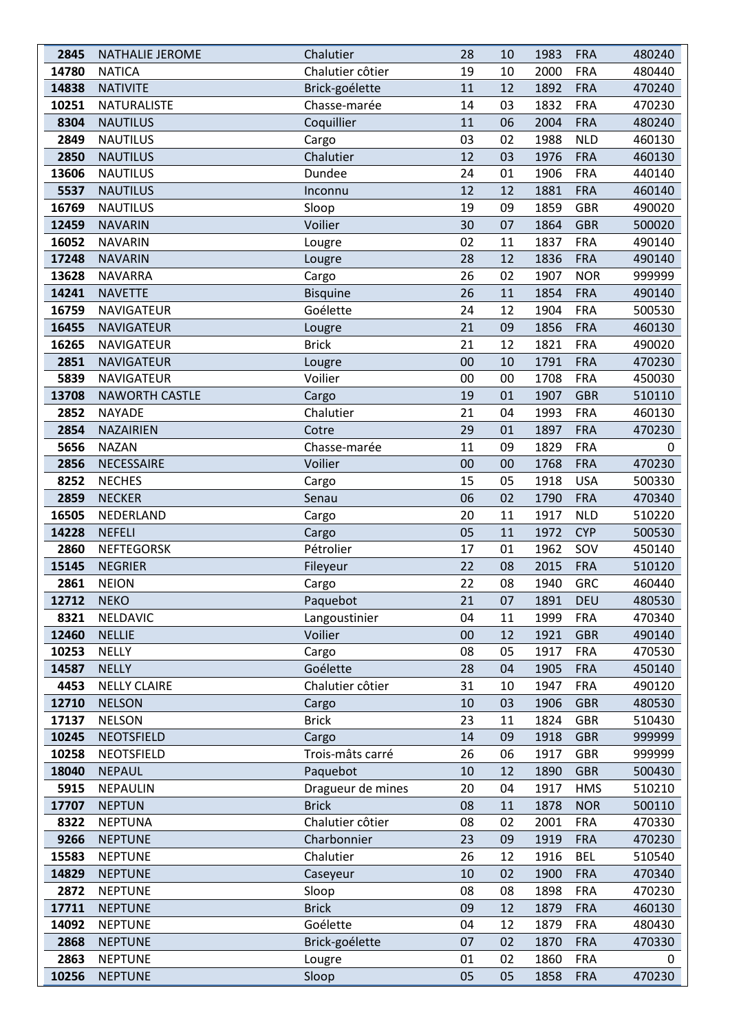| 2845  | <b>NATHALIE JEROME</b> | Chalutier         | 28 | 10 | 1983 | <b>FRA</b> | 480240 |
|-------|------------------------|-------------------|----|----|------|------------|--------|
| 14780 | <b>NATICA</b>          | Chalutier côtier  | 19 | 10 | 2000 | <b>FRA</b> | 480440 |
| 14838 | <b>NATIVITE</b>        | Brick-goélette    | 11 | 12 | 1892 | <b>FRA</b> | 470240 |
| 10251 | <b>NATURALISTE</b>     | Chasse-marée      | 14 | 03 | 1832 | <b>FRA</b> | 470230 |
| 8304  | <b>NAUTILUS</b>        | Coquillier        | 11 | 06 | 2004 | <b>FRA</b> | 480240 |
| 2849  | <b>NAUTILUS</b>        | Cargo             | 03 | 02 | 1988 | <b>NLD</b> | 460130 |
| 2850  | <b>NAUTILUS</b>        | Chalutier         | 12 | 03 | 1976 | <b>FRA</b> | 460130 |
| 13606 | <b>NAUTILUS</b>        | Dundee            | 24 | 01 | 1906 | <b>FRA</b> | 440140 |
| 5537  | <b>NAUTILUS</b>        | Inconnu           | 12 | 12 | 1881 | <b>FRA</b> | 460140 |
| 16769 | <b>NAUTILUS</b>        | Sloop             | 19 | 09 | 1859 | <b>GBR</b> | 490020 |
| 12459 | <b>NAVARIN</b>         | Voilier           | 30 | 07 | 1864 | <b>GBR</b> | 500020 |
| 16052 | <b>NAVARIN</b>         | Lougre            | 02 | 11 | 1837 | <b>FRA</b> | 490140 |
| 17248 | <b>NAVARIN</b>         | Lougre            | 28 | 12 | 1836 | <b>FRA</b> | 490140 |
| 13628 | <b>NAVARRA</b>         | Cargo             | 26 | 02 | 1907 | <b>NOR</b> | 999999 |
| 14241 | <b>NAVETTE</b>         | <b>Bisquine</b>   | 26 | 11 | 1854 | <b>FRA</b> | 490140 |
| 16759 | NAVIGATEUR             | Goélette          | 24 | 12 | 1904 | <b>FRA</b> | 500530 |
| 16455 | <b>NAVIGATEUR</b>      | Lougre            | 21 | 09 | 1856 | <b>FRA</b> | 460130 |
| 16265 | NAVIGATEUR             | <b>Brick</b>      | 21 | 12 | 1821 | <b>FRA</b> | 490020 |
| 2851  | <b>NAVIGATEUR</b>      | Lougre            | 00 | 10 | 1791 | <b>FRA</b> | 470230 |
| 5839  | <b>NAVIGATEUR</b>      | Voilier           | 00 | 00 | 1708 | <b>FRA</b> | 450030 |
| 13708 | NAWORTH CASTLE         | Cargo             | 19 | 01 | 1907 | <b>GBR</b> | 510110 |
| 2852  | <b>NAYADE</b>          | Chalutier         | 21 | 04 | 1993 | <b>FRA</b> | 460130 |
| 2854  | <b>NAZAIRIEN</b>       | Cotre             | 29 | 01 | 1897 | <b>FRA</b> | 470230 |
| 5656  | <b>NAZAN</b>           | Chasse-marée      | 11 | 09 | 1829 | <b>FRA</b> | 0      |
| 2856  | NECESSAIRE             | Voilier           | 00 | 00 | 1768 | <b>FRA</b> | 470230 |
| 8252  | <b>NECHES</b>          | Cargo             | 15 | 05 | 1918 | <b>USA</b> | 500330 |
| 2859  | <b>NECKER</b>          | Senau             | 06 | 02 | 1790 | <b>FRA</b> | 470340 |
| 16505 | NEDERLAND              | Cargo             | 20 | 11 | 1917 | <b>NLD</b> | 510220 |
| 14228 | <b>NEFELI</b>          | Cargo             | 05 | 11 | 1972 | <b>CYP</b> | 500530 |
| 2860  | <b>NEFTEGORSK</b>      | Pétrolier         | 17 | 01 | 1962 | SOV        | 450140 |
| 15145 | <b>NEGRIER</b>         | Fileyeur          | 22 | 08 | 2015 | <b>FRA</b> | 510120 |
| 2861  | <b>NEION</b>           | Cargo             | 22 | 08 | 1940 | <b>GRC</b> | 460440 |
| 12712 | <b>NEKO</b>            | Paquebot          | 21 | 07 | 1891 | <b>DEU</b> | 480530 |
| 8321  | NELDAVIC               | Langoustinier     | 04 | 11 | 1999 | <b>FRA</b> | 470340 |
| 12460 | <b>NELLIE</b>          | Voilier           | 00 | 12 | 1921 | <b>GBR</b> | 490140 |
| 10253 | NELLY                  | Cargo             | 08 | 05 | 1917 | <b>FRA</b> | 470530 |
| 14587 | <b>NELLY</b>           | Goélette          | 28 | 04 | 1905 | <b>FRA</b> | 450140 |
| 4453  | <b>NELLY CLAIRE</b>    | Chalutier côtier  | 31 | 10 | 1947 | <b>FRA</b> | 490120 |
| 12710 | <b>NELSON</b>          | Cargo             | 10 | 03 | 1906 | <b>GBR</b> | 480530 |
| 17137 | <b>NELSON</b>          | <b>Brick</b>      | 23 | 11 | 1824 | <b>GBR</b> | 510430 |
| 10245 | <b>NEOTSFIELD</b>      | Cargo             | 14 | 09 | 1918 | <b>GBR</b> | 999999 |
| 10258 | NEOTSFIELD             | Trois-mâts carré  | 26 | 06 | 1917 | <b>GBR</b> | 999999 |
| 18040 | <b>NEPAUL</b>          | Paquebot          | 10 | 12 | 1890 | <b>GBR</b> | 500430 |
| 5915  | NEPAULIN               | Dragueur de mines | 20 | 04 | 1917 | <b>HMS</b> | 510210 |
| 17707 | <b>NEPTUN</b>          | <b>Brick</b>      | 08 | 11 | 1878 | <b>NOR</b> | 500110 |
| 8322  | <b>NEPTUNA</b>         | Chalutier côtier  | 08 | 02 | 2001 | <b>FRA</b> | 470330 |
| 9266  | <b>NEPTUNE</b>         | Charbonnier       | 23 | 09 | 1919 | <b>FRA</b> | 470230 |
| 15583 | <b>NEPTUNE</b>         | Chalutier         | 26 | 12 | 1916 | <b>BEL</b> | 510540 |
| 14829 | <b>NEPTUNE</b>         | Caseyeur          | 10 | 02 | 1900 | <b>FRA</b> | 470340 |
| 2872  | <b>NEPTUNE</b>         | Sloop             | 08 | 08 | 1898 | <b>FRA</b> | 470230 |
| 17711 | <b>NEPTUNE</b>         | <b>Brick</b>      | 09 | 12 | 1879 | <b>FRA</b> | 460130 |
| 14092 | <b>NEPTUNE</b>         | Goélette          | 04 | 12 | 1879 | <b>FRA</b> | 480430 |
| 2868  | <b>NEPTUNE</b>         | Brick-goélette    | 07 | 02 | 1870 | <b>FRA</b> | 470330 |
| 2863  | <b>NEPTUNE</b>         | Lougre            | 01 | 02 | 1860 | <b>FRA</b> | 0      |
| 10256 | <b>NEPTUNE</b>         | Sloop             | 05 | 05 | 1858 | <b>FRA</b> | 470230 |
|       |                        |                   |    |    |      |            |        |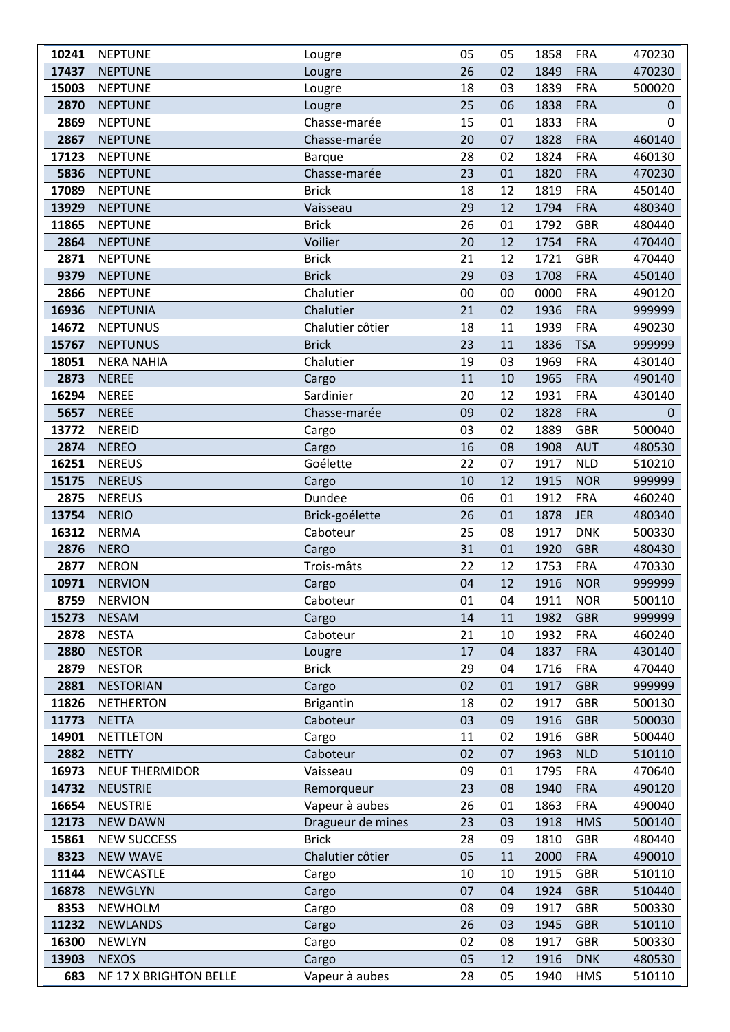| 10241 | <b>NEPTUNE</b>         | Lougre            | 05 | 05 | 1858 | <b>FRA</b> | 470230       |
|-------|------------------------|-------------------|----|----|------|------------|--------------|
| 17437 | <b>NEPTUNE</b>         | Lougre            | 26 | 02 | 1849 | <b>FRA</b> | 470230       |
| 15003 | <b>NEPTUNE</b>         | Lougre            | 18 | 03 | 1839 | <b>FRA</b> | 500020       |
| 2870  | <b>NEPTUNE</b>         | Lougre            | 25 | 06 | 1838 | <b>FRA</b> | 0            |
| 2869  | <b>NEPTUNE</b>         | Chasse-marée      | 15 | 01 | 1833 | <b>FRA</b> | 0            |
| 2867  | <b>NEPTUNE</b>         | Chasse-marée      | 20 | 07 | 1828 | <b>FRA</b> | 460140       |
| 17123 | <b>NEPTUNE</b>         | <b>Barque</b>     | 28 | 02 | 1824 | <b>FRA</b> | 460130       |
| 5836  | <b>NEPTUNE</b>         | Chasse-marée      | 23 | 01 | 1820 | <b>FRA</b> | 470230       |
| 17089 | <b>NEPTUNE</b>         | <b>Brick</b>      | 18 | 12 | 1819 | <b>FRA</b> | 450140       |
| 13929 | <b>NEPTUNE</b>         | Vaisseau          | 29 | 12 | 1794 | <b>FRA</b> | 480340       |
| 11865 | <b>NEPTUNE</b>         | <b>Brick</b>      | 26 | 01 | 1792 | <b>GBR</b> | 480440       |
| 2864  | <b>NEPTUNE</b>         | Voilier           | 20 | 12 | 1754 | <b>FRA</b> | 470440       |
| 2871  | <b>NEPTUNE</b>         | <b>Brick</b>      | 21 | 12 | 1721 | <b>GBR</b> | 470440       |
| 9379  | <b>NEPTUNE</b>         | <b>Brick</b>      | 29 | 03 | 1708 | <b>FRA</b> | 450140       |
| 2866  | <b>NEPTUNE</b>         | Chalutier         | 00 | 00 | 0000 | <b>FRA</b> | 490120       |
| 16936 | <b>NEPTUNIA</b>        | Chalutier         | 21 | 02 | 1936 | <b>FRA</b> | 999999       |
| 14672 | <b>NEPTUNUS</b>        | Chalutier côtier  | 18 | 11 | 1939 | <b>FRA</b> | 490230       |
| 15767 | <b>NEPTUNUS</b>        | <b>Brick</b>      | 23 | 11 | 1836 | <b>TSA</b> | 999999       |
| 18051 | <b>NERA NAHIA</b>      | Chalutier         | 19 | 03 | 1969 | <b>FRA</b> | 430140       |
| 2873  | <b>NEREE</b>           | Cargo             | 11 | 10 | 1965 | <b>FRA</b> | 490140       |
| 16294 | <b>NEREE</b>           | Sardinier         | 20 | 12 | 1931 | <b>FRA</b> | 430140       |
| 5657  | <b>NEREE</b>           | Chasse-marée      | 09 | 02 | 1828 | <b>FRA</b> | $\mathbf{0}$ |
| 13772 | <b>NEREID</b>          | Cargo             | 03 | 02 | 1889 | <b>GBR</b> | 500040       |
| 2874  | <b>NEREO</b>           | Cargo             | 16 | 08 | 1908 | <b>AUT</b> | 480530       |
| 16251 | <b>NEREUS</b>          | Goélette          | 22 | 07 | 1917 | <b>NLD</b> | 510210       |
| 15175 | <b>NEREUS</b>          | Cargo             | 10 | 12 | 1915 | <b>NOR</b> | 999999       |
| 2875  | <b>NEREUS</b>          | Dundee            | 06 | 01 | 1912 | <b>FRA</b> | 460240       |
| 13754 | <b>NERIO</b>           | Brick-goélette    | 26 | 01 | 1878 | <b>JER</b> | 480340       |
| 16312 | <b>NERMA</b>           | Caboteur          | 25 | 08 | 1917 | <b>DNK</b> | 500330       |
| 2876  | <b>NERO</b>            | Cargo             | 31 | 01 | 1920 | <b>GBR</b> | 480430       |
| 2877  | <b>NERON</b>           | Trois-mâts        | 22 | 12 | 1753 | <b>FRA</b> | 470330       |
| 10971 | <b>NERVION</b>         | Cargo             | 04 | 12 | 1916 | <b>NOR</b> | 999999       |
| 8759  | <b>NERVION</b>         | Caboteur          | 01 | 04 | 1911 | <b>NOR</b> | 500110       |
| 15273 | <b>NESAM</b>           | Cargo             | 14 | 11 | 1982 | <b>GBR</b> | 999999       |
| 2878  | <b>NESTA</b>           | Caboteur          | 21 | 10 | 1932 | <b>FRA</b> | 460240       |
| 2880  | <b>NESTOR</b>          | Lougre            | 17 | 04 | 1837 | <b>FRA</b> | 430140       |
| 2879  | <b>NESTOR</b>          | <b>Brick</b>      | 29 | 04 | 1716 | <b>FRA</b> | 470440       |
| 2881  | <b>NESTORIAN</b>       | Cargo             | 02 | 01 | 1917 | <b>GBR</b> | 999999       |
| 11826 | <b>NETHERTON</b>       | <b>Brigantin</b>  | 18 | 02 | 1917 | <b>GBR</b> | 500130       |
| 11773 | <b>NETTA</b>           | Caboteur          | 03 | 09 | 1916 | <b>GBR</b> | 500030       |
| 14901 | <b>NETTLETON</b>       | Cargo             | 11 | 02 | 1916 | <b>GBR</b> | 500440       |
| 2882  | <b>NETTY</b>           | Caboteur          | 02 | 07 | 1963 | <b>NLD</b> | 510110       |
| 16973 | <b>NEUF THERMIDOR</b>  | Vaisseau          | 09 | 01 | 1795 | <b>FRA</b> | 470640       |
| 14732 | <b>NEUSTRIE</b>        | Remorqueur        | 23 | 08 | 1940 | <b>FRA</b> | 490120       |
| 16654 | <b>NEUSTRIE</b>        | Vapeur à aubes    | 26 | 01 | 1863 | <b>FRA</b> | 490040       |
| 12173 | <b>NEW DAWN</b>        | Dragueur de mines | 23 | 03 | 1918 | <b>HMS</b> | 500140       |
| 15861 | <b>NEW SUCCESS</b>     | <b>Brick</b>      | 28 | 09 | 1810 | GBR        | 480440       |
| 8323  | <b>NEW WAVE</b>        | Chalutier côtier  | 05 | 11 | 2000 | <b>FRA</b> | 490010       |
| 11144 | NEWCASTLE              | Cargo             | 10 | 10 | 1915 | GBR        | 510110       |
| 16878 | <b>NEWGLYN</b>         | Cargo             | 07 | 04 | 1924 | <b>GBR</b> | 510440       |
| 8353  | <b>NEWHOLM</b>         | Cargo             | 08 | 09 | 1917 | <b>GBR</b> | 500330       |
| 11232 | <b>NEWLANDS</b>        | Cargo             | 26 | 03 | 1945 | <b>GBR</b> | 510110       |
| 16300 | <b>NEWLYN</b>          | Cargo             | 02 | 08 | 1917 | GBR        | 500330       |
| 13903 | <b>NEXOS</b>           | Cargo             | 05 | 12 | 1916 | <b>DNK</b> | 480530       |
| 683   | NF 17 X BRIGHTON BELLE | Vapeur à aubes    | 28 | 05 | 1940 | <b>HMS</b> | 510110       |
|       |                        |                   |    |    |      |            |              |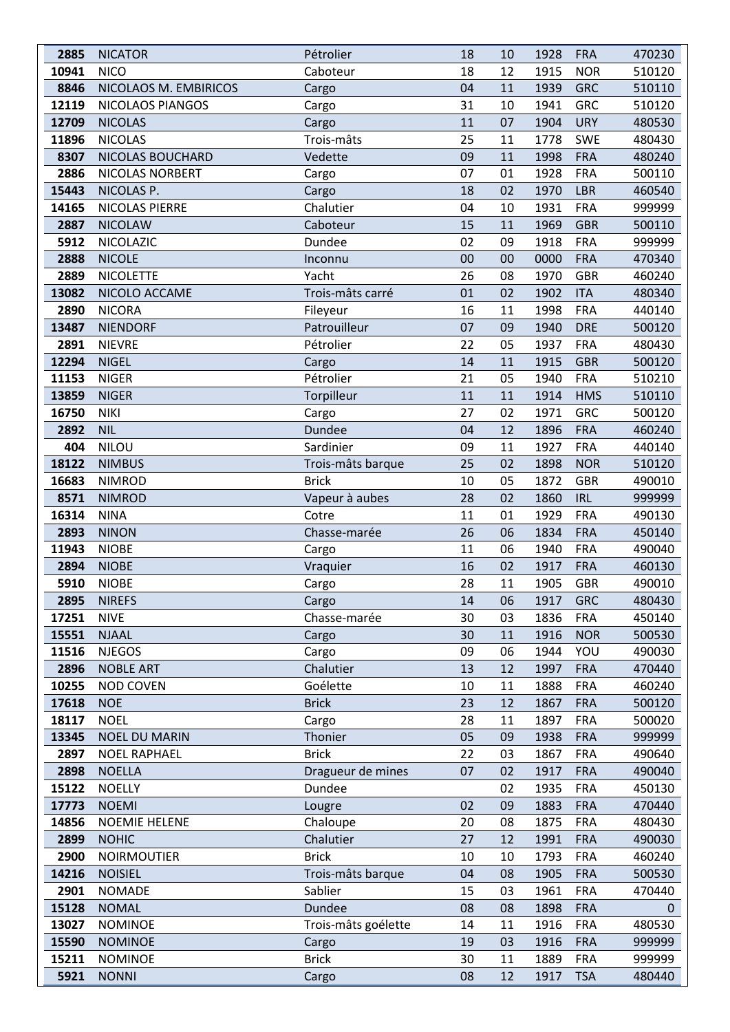| 2885          | <b>NICATOR</b>                | Pétrolier             | 18 | 10       | 1928         | <b>FRA</b>               | 470230           |
|---------------|-------------------------------|-----------------------|----|----------|--------------|--------------------------|------------------|
| 10941         | <b>NICO</b>                   | Caboteur              | 18 | 12       | 1915         | <b>NOR</b>               | 510120           |
| 8846          | NICOLAOS M. EMBIRICOS         | Cargo                 | 04 | 11       | 1939         | <b>GRC</b>               | 510110           |
| 12119         | NICOLAOS PIANGOS              | Cargo                 | 31 | 10       | 1941         | <b>GRC</b>               | 510120           |
| 12709         | <b>NICOLAS</b>                | Cargo                 | 11 | 07       | 1904         | <b>URY</b>               | 480530           |
| 11896         | <b>NICOLAS</b>                | Trois-mâts            | 25 | 11       | 1778         | <b>SWE</b>               | 480430           |
| 8307          | NICOLAS BOUCHARD              | Vedette               | 09 | 11       | 1998         | <b>FRA</b>               | 480240           |
| 2886          | NICOLAS NORBERT               | Cargo                 | 07 | 01       | 1928         | <b>FRA</b>               | 500110           |
| 15443         | NICOLAS P.                    | Cargo                 | 18 | 02       | 1970         | <b>LBR</b>               | 460540           |
| 14165         | NICOLAS PIERRE                | Chalutier             | 04 | 10       | 1931         | <b>FRA</b>               | 999999           |
| 2887          | <b>NICOLAW</b>                | Caboteur              | 15 | 11       | 1969         | <b>GBR</b>               | 500110           |
| 5912          | NICOLAZIC                     | Dundee                | 02 | 09       | 1918         | <b>FRA</b>               | 999999           |
| 2888          | <b>NICOLE</b>                 | Inconnu               | 00 | 00       | 0000         | <b>FRA</b>               | 470340           |
| 2889          | <b>NICOLETTE</b>              | Yacht                 | 26 | 08       | 1970         | <b>GBR</b>               | 460240           |
| 13082         | NICOLO ACCAME                 | Trois-mâts carré      | 01 | 02       | 1902         | <b>ITA</b>               | 480340           |
| 2890          | <b>NICORA</b>                 | Fileyeur              | 16 | 11       | 1998         | <b>FRA</b>               | 440140           |
| 13487         | <b>NIENDORF</b>               | Patrouilleur          | 07 | 09       | 1940         | <b>DRE</b>               | 500120           |
| 2891          | <b>NIEVRE</b>                 | Pétrolier             | 22 | 05       | 1937         | <b>FRA</b>               | 480430           |
| 12294         | <b>NIGEL</b>                  | Cargo                 | 14 | 11       | 1915         | <b>GBR</b>               | 500120           |
| 11153         | <b>NIGER</b>                  | Pétrolier             | 21 | 05       | 1940         | <b>FRA</b>               | 510210           |
| 13859         | <b>NIGER</b>                  | Torpilleur            | 11 | 11       | 1914         | <b>HMS</b>               | 510110           |
| 16750         | <b>NIKI</b>                   | Cargo                 | 27 | 02       | 1971         | <b>GRC</b>               | 500120           |
| 2892          | <b>NIL</b>                    | Dundee                | 04 | 12       | 1896         | <b>FRA</b>               | 460240           |
| 404           | NILOU                         | Sardinier             | 09 | 11       | 1927         | <b>FRA</b>               | 440140           |
| 18122         | <b>NIMBUS</b>                 | Trois-mâts barque     | 25 | 02       | 1898         | <b>NOR</b>               | 510120           |
| 16683         | <b>NIMROD</b>                 | <b>Brick</b>          | 10 | 05       | 1872         | <b>GBR</b>               | 490010           |
| 8571          | <b>NIMROD</b>                 | Vapeur à aubes        | 28 | 02       | 1860         | <b>IRL</b>               | 999999           |
| 16314         | <b>NINA</b>                   | Cotre                 | 11 | 01       | 1929         | <b>FRA</b>               | 490130           |
| 2893          | <b>NINON</b>                  | Chasse-marée          | 26 | 06       | 1834         | <b>FRA</b>               | 450140           |
| 11943         | <b>NIOBE</b>                  | Cargo                 | 11 | 06       | 1940         | <b>FRA</b>               | 490040           |
| 2894          | <b>NIOBE</b>                  | Vraquier              | 16 | 02       | 1917         | <b>FRA</b>               | 460130           |
| 5910          | <b>NIOBE</b>                  | Cargo                 | 28 | 11       | 1905         | <b>GBR</b>               | 490010           |
| 2895          | <b>NIREFS</b>                 | Cargo                 | 14 | 06       | 1917         | <b>GRC</b>               | 480430           |
| 17251         | <b>NIVE</b>                   | Chasse-marée          | 30 | 03       | 1836         | <b>FRA</b>               | 450140           |
| 15551         | <b>NJAAL</b>                  | Cargo                 | 30 | 11       | 1916         | <b>NOR</b>               | 500530           |
| 11516         | <b>NJEGOS</b>                 | Cargo                 | 09 | 06       | 1944         | YOU                      | 490030           |
| 2896          | <b>NOBLE ART</b>              | Chalutier             | 13 | 12       | 1997         | <b>FRA</b>               | 470440           |
| 10255         | <b>NOD COVEN</b>              | Goélette              | 10 | 11       | 1888         | <b>FRA</b>               | 460240           |
| 17618         | <b>NOE</b>                    | <b>Brick</b>          | 23 | 12       | 1867         | <b>FRA</b>               | 500120           |
| 18117         | <b>NOEL</b>                   | Cargo                 | 28 | 11       | 1897         | <b>FRA</b>               | 500020           |
| 13345         | <b>NOEL DU MARIN</b>          | Thonier               | 05 | 09       | 1938         | <b>FRA</b>               | 999999           |
| 2897          | <b>NOEL RAPHAEL</b>           | <b>Brick</b>          | 22 | 03       | 1867         | <b>FRA</b>               | 490640           |
| 2898          | <b>NOELLA</b>                 | Dragueur de mines     | 07 | 02       | 1917         | <b>FRA</b>               | 490040           |
| 15122         | <b>NOELLY</b>                 | Dundee                |    | 02       | 1935         | <b>FRA</b>               | 450130           |
| 17773         | <b>NOEMI</b>                  | Lougre                | 02 | 09       | 1883         | <b>FRA</b>               | 470440           |
| 14856         | <b>NOEMIE HELENE</b>          | Chaloupe              | 20 | 08       | 1875         | <b>FRA</b>               | 480430           |
| 2899          | <b>NOHIC</b>                  | Chalutier             | 27 | 12       | 1991         | <b>FRA</b>               | 490030           |
| 2900          | <b>NOIRMOUTIER</b>            | <b>Brick</b>          | 10 | 10       | 1793         | <b>FRA</b>               | 460240           |
| 14216         | <b>NOISIEL</b>                | Trois-mâts barque     | 04 | 08       | 1905         | <b>FRA</b>               | 500530           |
|               |                               |                       | 15 |          |              |                          |                  |
| 2901<br>15128 | <b>NOMADE</b><br><b>NOMAL</b> | Sablier<br>Dundee     | 08 | 03<br>08 | 1961<br>1898 | <b>FRA</b><br><b>FRA</b> | 470440<br>0      |
| 13027         | <b>NOMINOE</b>                | Trois-mâts goélette   | 14 | 11       | 1916         | <b>FRA</b>               | 480530           |
| 15590         | <b>NOMINOE</b>                |                       | 19 | 03       | 1916         | <b>FRA</b>               |                  |
| 15211         | <b>NOMINOE</b>                | Cargo<br><b>Brick</b> | 30 | 11       | 1889         | <b>FRA</b>               | 999999<br>999999 |
| 5921          | <b>NONNI</b>                  | Cargo                 | 08 | 12       | 1917         | <b>TSA</b>               | 480440           |
|               |                               |                       |    |          |              |                          |                  |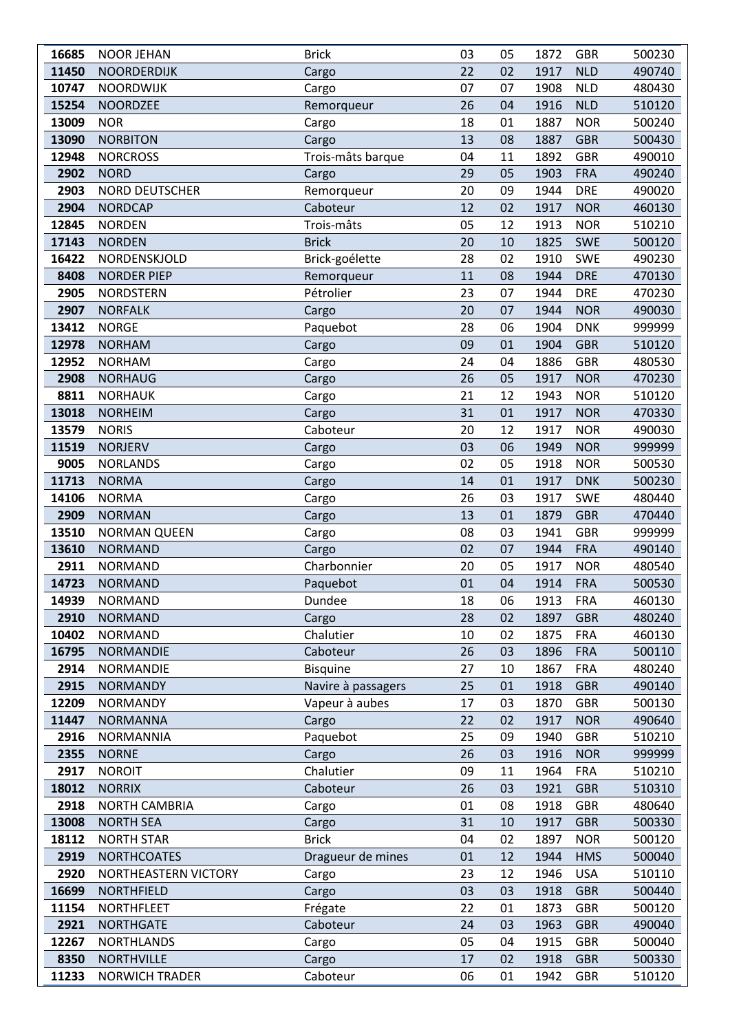| 16685          | <b>NOOR JEHAN</b>                      | <b>Brick</b>       | 03 | 05       | 1872         | <b>GBR</b>               | 500230           |
|----------------|----------------------------------------|--------------------|----|----------|--------------|--------------------------|------------------|
| 11450          | <b>NOORDERDIJK</b>                     | Cargo              | 22 | 02       | 1917         | <b>NLD</b>               | 490740           |
| 10747          | <b>NOORDWIJK</b>                       | Cargo              | 07 | 07       | 1908         | <b>NLD</b>               | 480430           |
| 15254          | <b>NOORDZEE</b>                        | Remorqueur         | 26 | 04       | 1916         | <b>NLD</b>               | 510120           |
| 13009          | <b>NOR</b>                             | Cargo              | 18 | 01       | 1887         | <b>NOR</b>               | 500240           |
| 13090          | <b>NORBITON</b>                        | Cargo              | 13 | 08       | 1887         | <b>GBR</b>               | 500430           |
| 12948          | <b>NORCROSS</b>                        | Trois-mâts barque  | 04 | 11       | 1892         | <b>GBR</b>               | 490010           |
| 2902           | <b>NORD</b>                            | Cargo              | 29 | 05       | 1903         | <b>FRA</b>               | 490240           |
| 2903           | NORD DEUTSCHER                         | Remorqueur         | 20 | 09       | 1944         | <b>DRE</b>               | 490020           |
| 2904           | <b>NORDCAP</b>                         | Caboteur           | 12 | 02       | 1917         | <b>NOR</b>               | 460130           |
| 12845          | <b>NORDEN</b>                          | Trois-mâts         | 05 | 12       | 1913         | <b>NOR</b>               | 510210           |
| 17143          | <b>NORDEN</b>                          | <b>Brick</b>       | 20 | 10       | 1825         | <b>SWE</b>               | 500120           |
| 16422          | NORDENSKJOLD                           | Brick-goélette     | 28 | 02       | 1910         | <b>SWE</b>               | 490230           |
| 8408           | <b>NORDER PIEP</b>                     | Remorqueur         | 11 | 08       | 1944         | <b>DRE</b>               | 470130           |
| 2905           | <b>NORDSTERN</b>                       | Pétrolier          | 23 | 07       | 1944         | <b>DRE</b>               | 470230           |
| 2907           | <b>NORFALK</b>                         | Cargo              | 20 | 07       | 1944         | <b>NOR</b>               | 490030           |
| 13412          | <b>NORGE</b>                           | Paquebot           | 28 | 06       | 1904         | <b>DNK</b>               | 999999           |
| 12978          | <b>NORHAM</b>                          | Cargo              | 09 | 01       | 1904         | <b>GBR</b>               | 510120           |
| 12952          | <b>NORHAM</b>                          | Cargo              | 24 | 04       | 1886         | <b>GBR</b>               | 480530           |
| 2908           | <b>NORHAUG</b>                         | Cargo              | 26 | 05       | 1917         | <b>NOR</b>               | 470230           |
| 8811           | <b>NORHAUK</b>                         | Cargo              | 21 | 12       | 1943         | <b>NOR</b>               | 510120           |
| 13018          | <b>NORHEIM</b>                         | Cargo              | 31 | 01       | 1917         | <b>NOR</b>               | 470330           |
| 13579          | <b>NORIS</b>                           | Caboteur           | 20 | 12       | 1917         | <b>NOR</b>               | 490030           |
| 11519          | <b>NORJERV</b>                         | Cargo              | 03 | 06       | 1949         | <b>NOR</b>               | 999999           |
| 9005           | <b>NORLANDS</b>                        | Cargo              | 02 | 05       | 1918         | <b>NOR</b>               | 500530           |
| 11713          | <b>NORMA</b>                           | Cargo              | 14 | 01       | 1917         | <b>DNK</b>               | 500230           |
| 14106          | <b>NORMA</b>                           | Cargo              | 26 | 03       | 1917         | <b>SWE</b>               | 480440           |
| 2909           | <b>NORMAN</b>                          | Cargo              | 13 | 01       | 1879         | <b>GBR</b>               | 470440           |
| 13510          | <b>NORMAN QUEEN</b>                    | Cargo              | 08 | 03       | 1941         | <b>GBR</b>               | 999999           |
| 13610          | <b>NORMAND</b>                         | Cargo              | 02 | 07       | 1944         | <b>FRA</b>               | 490140           |
| 2911           | <b>NORMAND</b>                         | Charbonnier        | 20 | 05       | 1917         | <b>NOR</b>               | 480540           |
| 14723          | <b>NORMAND</b>                         | Paquebot           | 01 | 04       | 1914         | <b>FRA</b>               | 500530           |
| 14939          | <b>NORMAND</b>                         | Dundee             | 18 | 06       | 1913         | <b>FRA</b>               | 460130           |
| 2910           | <b>NORMAND</b>                         | Cargo              | 28 | 02       | 1897         | <b>GBR</b>               | 480240           |
| 10402          | <b>NORMAND</b>                         | Chalutier          | 10 | 02       | 1875         | <b>FRA</b>               | 460130           |
| 16795          | <b>NORMANDIE</b>                       | Caboteur           | 26 | 03       | 1896         | <b>FRA</b>               | 500110           |
| 2914           | NORMANDIE                              | <b>Bisquine</b>    | 27 | 10       | 1867         | <b>FRA</b>               | 480240           |
| 2915           | <b>NORMANDY</b>                        | Navire à passagers | 25 | 01       | 1918         | <b>GBR</b>               | 490140           |
| 12209          | <b>NORMANDY</b>                        | Vapeur à aubes     | 17 | 03       | 1870         | <b>GBR</b>               | 500130           |
| 11447          | <b>NORMANNA</b>                        | Cargo              | 22 | 02       | 1917         | <b>NOR</b>               | 490640           |
| 2916           | <b>NORMANNIA</b>                       | Paquebot           | 25 | 09       | 1940         | <b>GBR</b>               | 510210           |
| 2355           | <b>NORNE</b>                           | Cargo              | 26 | 03       | 1916         | <b>NOR</b>               | 999999           |
| 2917           | <b>NOROIT</b>                          | Chalutier          | 09 | 11       | 1964         | <b>FRA</b>               | 510210           |
| 18012          | <b>NORRIX</b>                          | Caboteur           | 26 | 03       | 1921         | <b>GBR</b>               | 510310           |
| 2918           | <b>NORTH CAMBRIA</b>                   | Cargo              | 01 | 08       | 1918         | <b>GBR</b>               | 480640           |
| 13008          | <b>NORTH SEA</b>                       | Cargo              | 31 | 10       | 1917         | <b>GBR</b>               | 500330           |
| 18112          | <b>NORTH STAR</b>                      | <b>Brick</b>       | 04 | 02       | 1897         | <b>NOR</b>               | 500120           |
| 2919           | <b>NORTHCOATES</b>                     | Dragueur de mines  | 01 | 12       | 1944         | <b>HMS</b>               | 500040           |
| 2920           | NORTHEASTERN VICTORY                   | Cargo              | 23 | 12       | 1946         | <b>USA</b>               | 510110           |
|                |                                        |                    | 03 |          |              |                          |                  |
| 16699<br>11154 | <b>NORTHFIELD</b><br><b>NORTHFLEET</b> | Cargo              | 22 | 03<br>01 | 1918<br>1873 | <b>GBR</b><br><b>GBR</b> | 500440<br>500120 |
| 2921           | <b>NORTHGATE</b>                       | Frégate            | 24 | 03       | 1963         | <b>GBR</b>               | 490040           |
| 12267          | <b>NORTHLANDS</b>                      | Caboteur           | 05 | 04       | 1915         | <b>GBR</b>               | 500040           |
| 8350           | <b>NORTHVILLE</b>                      | Cargo              | 17 | 02       | 1918         | <b>GBR</b>               |                  |
| 11233          | <b>NORWICH TRADER</b>                  | Cargo<br>Caboteur  | 06 | 01       | 1942         | <b>GBR</b>               | 500330<br>510120 |
|                |                                        |                    |    |          |              |                          |                  |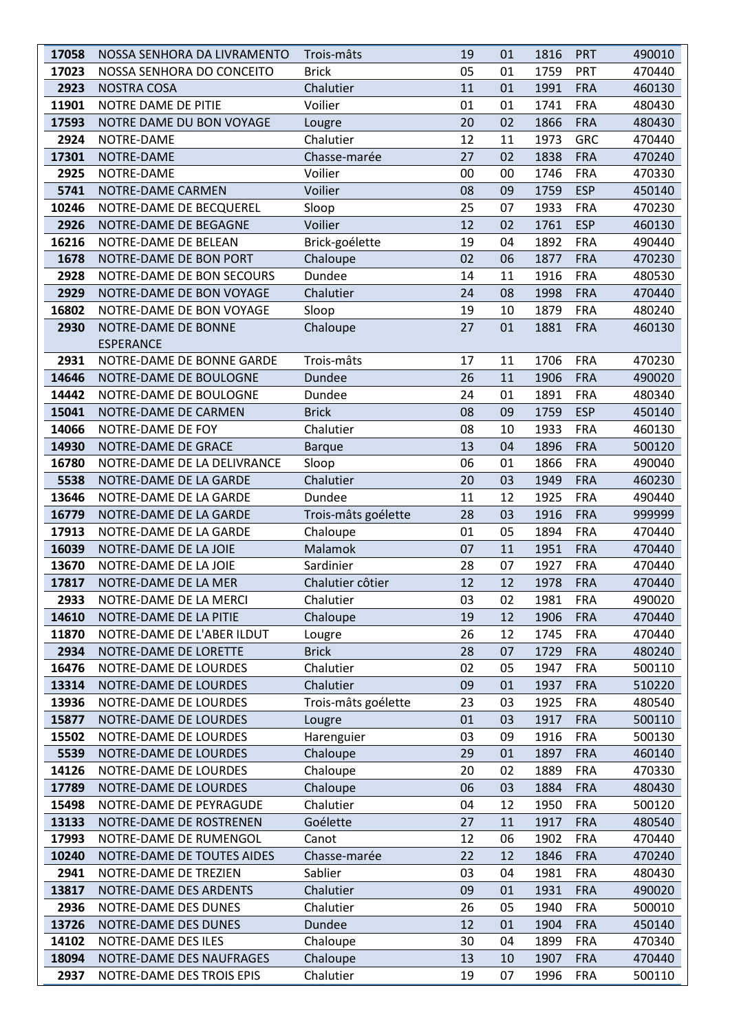| 17058 | NOSSA SENHORA DA LIVRAMENTO | Trois-mâts          | 19 | 01 | 1816 | <b>PRT</b> | 490010 |
|-------|-----------------------------|---------------------|----|----|------|------------|--------|
| 17023 | NOSSA SENHORA DO CONCEITO   | <b>Brick</b>        | 05 | 01 | 1759 | PRT        | 470440 |
| 2923  | <b>NOSTRA COSA</b>          | Chalutier           | 11 | 01 | 1991 | <b>FRA</b> | 460130 |
| 11901 | NOTRE DAME DE PITIE         | Voilier             | 01 | 01 | 1741 | <b>FRA</b> | 480430 |
| 17593 | NOTRE DAME DU BON VOYAGE    | Lougre              | 20 | 02 | 1866 | <b>FRA</b> | 480430 |
| 2924  | NOTRE-DAME                  | Chalutier           | 12 | 11 | 1973 | <b>GRC</b> | 470440 |
| 17301 | NOTRE-DAME                  | Chasse-marée        | 27 | 02 | 1838 | <b>FRA</b> | 470240 |
| 2925  | NOTRE-DAME                  | Voilier             | 00 | 00 | 1746 | <b>FRA</b> | 470330 |
| 5741  | NOTRE-DAME CARMEN           | Voilier             | 08 | 09 | 1759 | <b>ESP</b> | 450140 |
| 10246 | NOTRE-DAME DE BECQUEREL     | Sloop               | 25 | 07 | 1933 | <b>FRA</b> | 470230 |
| 2926  | NOTRE-DAME DE BEGAGNE       | Voilier             | 12 | 02 | 1761 | <b>ESP</b> | 460130 |
| 16216 | NOTRE-DAME DE BELEAN        | Brick-goélette      | 19 | 04 | 1892 | <b>FRA</b> | 490440 |
| 1678  | NOTRE-DAME DE BON PORT      | Chaloupe            | 02 | 06 | 1877 | <b>FRA</b> | 470230 |
| 2928  | NOTRE-DAME DE BON SECOURS   | Dundee              | 14 | 11 | 1916 | <b>FRA</b> | 480530 |
| 2929  | NOTRE-DAME DE BON VOYAGE    | Chalutier           | 24 | 08 | 1998 | <b>FRA</b> | 470440 |
| 16802 | NOTRE-DAME DE BON VOYAGE    | Sloop               | 19 | 10 | 1879 | <b>FRA</b> | 480240 |
| 2930  | NOTRE-DAME DE BONNE         | Chaloupe            | 27 | 01 | 1881 | <b>FRA</b> | 460130 |
|       | <b>ESPERANCE</b>            |                     |    |    |      |            |        |
| 2931  | NOTRE-DAME DE BONNE GARDE   | Trois-mâts          | 17 | 11 | 1706 | <b>FRA</b> | 470230 |
| 14646 | NOTRE-DAME DE BOULOGNE      | Dundee              | 26 | 11 | 1906 | <b>FRA</b> | 490020 |
| 14442 | NOTRE-DAME DE BOULOGNE      | Dundee              | 24 | 01 | 1891 | <b>FRA</b> | 480340 |
| 15041 | NOTRE-DAME DE CARMEN        | <b>Brick</b>        | 08 | 09 | 1759 | <b>ESP</b> | 450140 |
| 14066 | NOTRE-DAME DE FOY           | Chalutier           | 08 | 10 | 1933 | <b>FRA</b> | 460130 |
| 14930 | NOTRE-DAME DE GRACE         | <b>Barque</b>       | 13 | 04 | 1896 | <b>FRA</b> | 500120 |
| 16780 | NOTRE-DAME DE LA DELIVRANCE | Sloop               | 06 | 01 | 1866 | <b>FRA</b> | 490040 |
| 5538  | NOTRE-DAME DE LA GARDE      | Chalutier           | 20 | 03 | 1949 | <b>FRA</b> | 460230 |
| 13646 | NOTRE-DAME DE LA GARDE      | Dundee              | 11 | 12 | 1925 | <b>FRA</b> | 490440 |
| 16779 | NOTRE-DAME DE LA GARDE      | Trois-mâts goélette | 28 | 03 | 1916 | <b>FRA</b> | 999999 |
| 17913 | NOTRE-DAME DE LA GARDE      | Chaloupe            | 01 | 05 | 1894 | <b>FRA</b> | 470440 |
| 16039 | NOTRE-DAME DE LA JOIE       | Malamok             | 07 | 11 | 1951 | <b>FRA</b> | 470440 |
| 13670 | NOTRE-DAME DE LA JOIE       | Sardinier           | 28 | 07 | 1927 | <b>FRA</b> | 470440 |
| 17817 | NOTRE-DAME DE LA MER        | Chalutier côtier    | 12 | 12 | 1978 | <b>FRA</b> | 470440 |
| 2933  | NOTRE-DAME DE LA MERCI      | Chalutier           | 03 | 02 | 1981 | <b>FRA</b> | 490020 |
| 14610 | NOTRE-DAME DE LA PITIE      | Chaloupe            | 19 | 12 | 1906 | <b>FRA</b> | 470440 |
| 11870 | NOTRE-DAME DE L'ABER ILDUT  | Lougre              | 26 | 12 | 1745 | <b>FRA</b> | 470440 |
| 2934  | NOTRE-DAME DE LORETTE       | <b>Brick</b>        | 28 | 07 | 1729 | <b>FRA</b> | 480240 |
| 16476 | NOTRE-DAME DE LOURDES       | Chalutier           | 02 | 05 | 1947 | <b>FRA</b> | 500110 |
| 13314 | NOTRE-DAME DE LOURDES       | Chalutier           | 09 | 01 | 1937 | <b>FRA</b> | 510220 |
| 13936 | NOTRE-DAME DE LOURDES       | Trois-mâts goélette | 23 | 03 | 1925 | <b>FRA</b> | 480540 |
| 15877 | NOTRE-DAME DE LOURDES       | Lougre              | 01 | 03 | 1917 | <b>FRA</b> | 500110 |
| 15502 | NOTRE-DAME DE LOURDES       | Harenguier          | 03 | 09 | 1916 | <b>FRA</b> | 500130 |
| 5539  | NOTRE-DAME DE LOURDES       | Chaloupe            | 29 | 01 | 1897 | <b>FRA</b> | 460140 |
| 14126 | NOTRE-DAME DE LOURDES       | Chaloupe            | 20 | 02 | 1889 | <b>FRA</b> | 470330 |
| 17789 | NOTRE-DAME DE LOURDES       | Chaloupe            | 06 | 03 | 1884 | <b>FRA</b> | 480430 |
| 15498 | NOTRE-DAME DE PEYRAGUDE     | Chalutier           | 04 | 12 | 1950 | <b>FRA</b> | 500120 |
| 13133 | NOTRE-DAME DE ROSTRENEN     | Goélette            | 27 | 11 | 1917 | <b>FRA</b> | 480540 |
| 17993 | NOTRE-DAME DE RUMENGOL      | Canot               | 12 | 06 | 1902 | <b>FRA</b> | 470440 |
| 10240 | NOTRE-DAME DE TOUTES AIDES  | Chasse-marée        | 22 | 12 | 1846 | <b>FRA</b> | 470240 |
| 2941  | NOTRE-DAME DE TREZIEN       | Sablier             | 03 | 04 | 1981 | <b>FRA</b> | 480430 |
| 13817 | NOTRE-DAME DES ARDENTS      | Chalutier           | 09 | 01 | 1931 | <b>FRA</b> | 490020 |
| 2936  | NOTRE-DAME DES DUNES        | Chalutier           | 26 | 05 | 1940 | <b>FRA</b> | 500010 |
| 13726 | NOTRE-DAME DES DUNES        | Dundee              | 12 | 01 | 1904 | <b>FRA</b> | 450140 |
| 14102 | NOTRE-DAME DES ILES         | Chaloupe            | 30 | 04 | 1899 | <b>FRA</b> | 470340 |
| 18094 | NOTRE-DAME DES NAUFRAGES    | Chaloupe            | 13 | 10 | 1907 | <b>FRA</b> | 470440 |
| 2937  | NOTRE-DAME DES TROIS EPIS   | Chalutier           | 19 | 07 | 1996 | <b>FRA</b> | 500110 |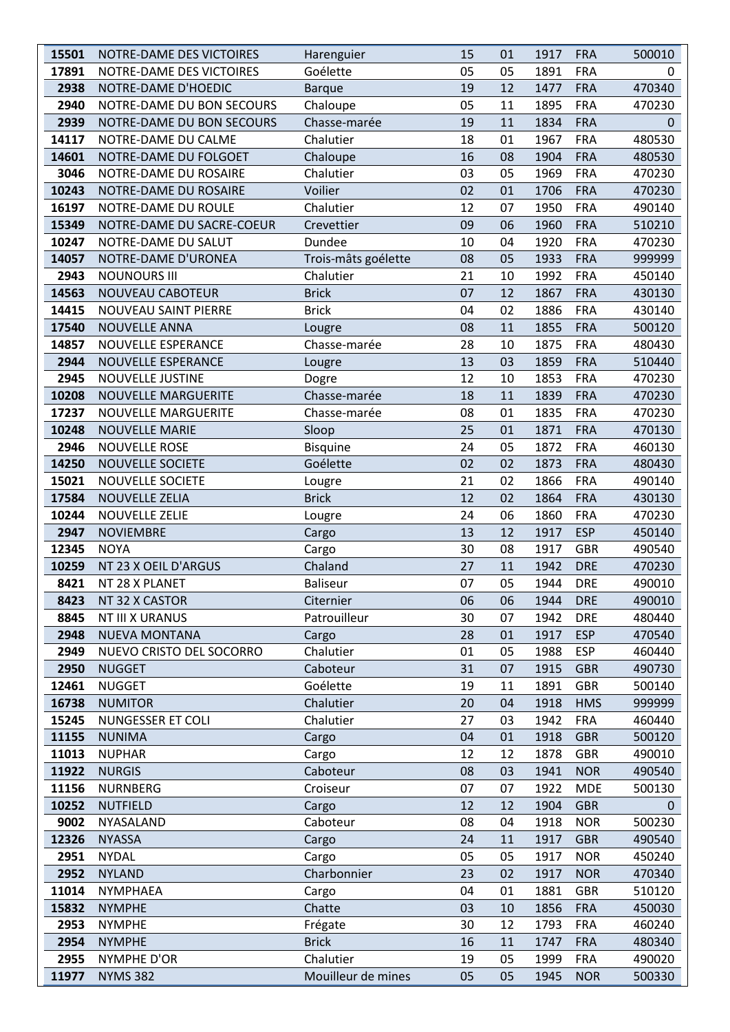| 15501 | NOTRE-DAME DES VICTOIRES   | Harenguier          | 15 | 01 | 1917 | <b>FRA</b> | 500010   |
|-------|----------------------------|---------------------|----|----|------|------------|----------|
| 17891 | NOTRE-DAME DES VICTOIRES   | Goélette            | 05 | 05 | 1891 | <b>FRA</b> | 0        |
| 2938  | NOTRE-DAME D'HOEDIC        | <b>Barque</b>       | 19 | 12 | 1477 | <b>FRA</b> | 470340   |
| 2940  | NOTRE-DAME DU BON SECOURS  | Chaloupe            | 05 | 11 | 1895 | <b>FRA</b> | 470230   |
| 2939  | NOTRE-DAME DU BON SECOURS  | Chasse-marée        | 19 | 11 | 1834 | <b>FRA</b> | $\Omega$ |
| 14117 | NOTRE-DAME DU CALME        | Chalutier           | 18 | 01 | 1967 | <b>FRA</b> | 480530   |
| 14601 | NOTRE-DAME DU FOLGOET      | Chaloupe            | 16 | 08 | 1904 | <b>FRA</b> | 480530   |
| 3046  | NOTRE-DAME DU ROSAIRE      | Chalutier           | 03 | 05 | 1969 | <b>FRA</b> | 470230   |
| 10243 | NOTRE-DAME DU ROSAIRE      | Voilier             | 02 | 01 | 1706 | <b>FRA</b> | 470230   |
| 16197 | NOTRE-DAME DU ROULE        | Chalutier           | 12 | 07 | 1950 | <b>FRA</b> | 490140   |
| 15349 | NOTRE-DAME DU SACRE-COEUR  | Crevettier          | 09 | 06 | 1960 | <b>FRA</b> | 510210   |
| 10247 | NOTRE-DAME DU SALUT        | Dundee              | 10 | 04 | 1920 | <b>FRA</b> | 470230   |
| 14057 | NOTRE-DAME D'URONEA        | Trois-mâts goélette | 08 | 05 | 1933 | <b>FRA</b> | 999999   |
| 2943  | <b>NOUNOURS III</b>        | Chalutier           | 21 | 10 | 1992 | <b>FRA</b> | 450140   |
| 14563 | <b>NOUVEAU CABOTEUR</b>    | <b>Brick</b>        | 07 | 12 | 1867 | <b>FRA</b> | 430130   |
| 14415 | NOUVEAU SAINT PIERRE       | <b>Brick</b>        | 04 | 02 | 1886 | <b>FRA</b> | 430140   |
| 17540 | <b>NOUVELLE ANNA</b>       | Lougre              | 08 | 11 | 1855 | <b>FRA</b> | 500120   |
| 14857 | <b>NOUVELLE ESPERANCE</b>  | Chasse-marée        | 28 | 10 | 1875 | <b>FRA</b> | 480430   |
| 2944  | <b>NOUVELLE ESPERANCE</b>  | Lougre              | 13 | 03 | 1859 | <b>FRA</b> | 510440   |
| 2945  | <b>NOUVELLE JUSTINE</b>    | Dogre               | 12 | 10 | 1853 | <b>FRA</b> | 470230   |
| 10208 | <b>NOUVELLE MARGUERITE</b> | Chasse-marée        | 18 | 11 | 1839 | <b>FRA</b> | 470230   |
| 17237 | NOUVELLE MARGUERITE        | Chasse-marée        | 08 | 01 | 1835 | <b>FRA</b> | 470230   |
| 10248 | <b>NOUVELLE MARIE</b>      | Sloop               | 25 | 01 | 1871 | <b>FRA</b> | 470130   |
| 2946  | <b>NOUVELLE ROSE</b>       | <b>Bisquine</b>     | 24 | 05 | 1872 | <b>FRA</b> | 460130   |
| 14250 | <b>NOUVELLE SOCIETE</b>    | Goélette            | 02 | 02 | 1873 | <b>FRA</b> | 480430   |
| 15021 | <b>NOUVELLE SOCIETE</b>    | Lougre              | 21 | 02 | 1866 | <b>FRA</b> | 490140   |
| 17584 | <b>NOUVELLE ZELIA</b>      | <b>Brick</b>        | 12 | 02 | 1864 | <b>FRA</b> | 430130   |
| 10244 | <b>NOUVELLE ZELIE</b>      | Lougre              | 24 | 06 | 1860 | <b>FRA</b> | 470230   |
| 2947  | <b>NOVIEMBRE</b>           | Cargo               | 13 | 12 | 1917 | <b>ESP</b> | 450140   |
| 12345 | <b>NOYA</b>                | Cargo               | 30 | 08 | 1917 | <b>GBR</b> | 490540   |
| 10259 | NT 23 X OEIL D'ARGUS       | Chaland             | 27 | 11 | 1942 | <b>DRE</b> | 470230   |
| 8421  | NT 28 X PLANET             | <b>Baliseur</b>     | 07 | 05 | 1944 | <b>DRE</b> | 490010   |
| 8423  | NT 32 X CASTOR             | Citernier           | 06 | 06 | 1944 | <b>DRE</b> | 490010   |
| 8845  | <b>NT III X URANUS</b>     | Patrouilleur        | 30 | 07 | 1942 | <b>DRE</b> | 480440   |
| 2948  | <b>NUEVA MONTANA</b>       | Cargo               | 28 | 01 | 1917 | <b>ESP</b> | 470540   |
| 2949  | NUEVO CRISTO DEL SOCORRO   | Chalutier           | 01 | 05 | 1988 | <b>ESP</b> | 460440   |
| 2950  | <b>NUGGET</b>              | Caboteur            | 31 | 07 | 1915 | <b>GBR</b> | 490730   |
| 12461 | <b>NUGGET</b>              | Goélette            | 19 | 11 | 1891 | <b>GBR</b> | 500140   |
| 16738 | <b>NUMITOR</b>             | Chalutier           | 20 | 04 | 1918 | <b>HMS</b> | 999999   |
| 15245 | NUNGESSER ET COLI          | Chalutier           | 27 | 03 | 1942 | <b>FRA</b> | 460440   |
| 11155 | <b>NUNIMA</b>              | Cargo               | 04 | 01 | 1918 | <b>GBR</b> | 500120   |
| 11013 | <b>NUPHAR</b>              | Cargo               | 12 | 12 | 1878 | <b>GBR</b> | 490010   |
| 11922 | <b>NURGIS</b>              | Caboteur            | 08 | 03 | 1941 | <b>NOR</b> | 490540   |
| 11156 | <b>NURNBERG</b>            | Croiseur            | 07 | 07 | 1922 | <b>MDE</b> | 500130   |
| 10252 | <b>NUTFIELD</b>            | Cargo               | 12 | 12 | 1904 | <b>GBR</b> | 0        |
| 9002  | NYASALAND                  | Caboteur            | 08 | 04 | 1918 | <b>NOR</b> | 500230   |
| 12326 | <b>NYASSA</b>              | Cargo               | 24 | 11 | 1917 | <b>GBR</b> | 490540   |
| 2951  | <b>NYDAL</b>               | Cargo               | 05 | 05 | 1917 | <b>NOR</b> | 450240   |
| 2952  | <b>NYLAND</b>              | Charbonnier         | 23 | 02 | 1917 | <b>NOR</b> | 470340   |
| 11014 | <b>NYMPHAEA</b>            | Cargo               | 04 | 01 | 1881 | <b>GBR</b> | 510120   |
| 15832 | <b>NYMPHE</b>              | Chatte              | 03 | 10 | 1856 | <b>FRA</b> | 450030   |
| 2953  | <b>NYMPHE</b>              | Frégate             | 30 | 12 | 1793 | <b>FRA</b> | 460240   |
| 2954  | <b>NYMPHE</b>              | <b>Brick</b>        | 16 | 11 | 1747 | <b>FRA</b> | 480340   |
| 2955  | NYMPHE D'OR                | Chalutier           | 19 | 05 | 1999 | <b>FRA</b> | 490020   |
| 11977 | <b>NYMS 382</b>            | Mouilleur de mines  | 05 | 05 | 1945 | <b>NOR</b> | 500330   |
|       |                            |                     |    |    |      |            |          |